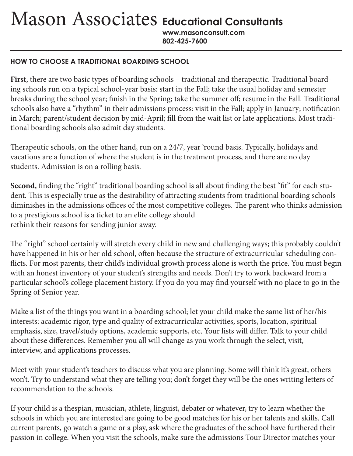Mason Associates **Educational Consultants**

**www.masonconsult.com 802-425-7600**

## **HOW TO CHOOSE A TRADITIONAL BOARDING SCHOOL**

**First**, there are two basic types of boarding schools – traditional and therapeutic. Traditional boarding schools run on a typical school-year basis: start in the Fall; take the usual holiday and semester breaks during the school year; finish in the Spring; take the summer off; resume in the Fall. Traditional schools also have a "rhythm" in their admissions process: visit in the Fall; apply in January; notification in March; parent/student decision by mid-April; fill from the wait list or late applications. Most traditional boarding schools also admit day students.

Therapeutic schools, on the other hand, run on a 24/7, year 'round basis. Typically, holidays and vacations are a function of where the student is in the treatment process, and there are no day students. Admission is on a rolling basis.

**Second,** finding the "right" traditional boarding school is all about finding the best "fit" for each student. This is especially true as the desirability of attracting students from traditional boarding schools diminishes in the admissions offices of the most competitive colleges. The parent who thinks admission to a prestigious school is a ticket to an elite college should rethink their reasons for sending junior away.

The "right" school certainly will stretch every child in new and challenging ways; this probably couldn't have happened in his or her old school, often because the structure of extracurricular scheduling conflicts. For most parents, their child's individual growth process alone is worth the price. You must begin with an honest inventory of your student's strengths and needs. Don't try to work backward from a particular school's college placement history. If you do you may find yourself with no place to go in the Spring of Senior year.

Make a list of the things you want in a boarding school; let your child make the same list of her/his interests: academic rigor, type and quality of extracurricular activities, sports, location, spiritual emphasis, size, travel/study options, academic supports, etc. Your lists will differ. Talk to your child about these differences. Remember you all will change as you work through the select, visit, interview, and applications processes.

Meet with your student's teachers to discuss what you are planning. Some will think it's great, others won't. Try to understand what they are telling you; don't forget they will be the ones writing letters of recommendation to the schools.

If your child is a thespian, musician, athlete, linguist, debater or whatever, try to learn whether the schools in which you are interested are going to be good matches for his or her talents and skills. Call current parents, go watch a game or a play, ask where the graduates of the school have furthered their passion in college. When you visit the schools, make sure the admissions Tour Director matches your